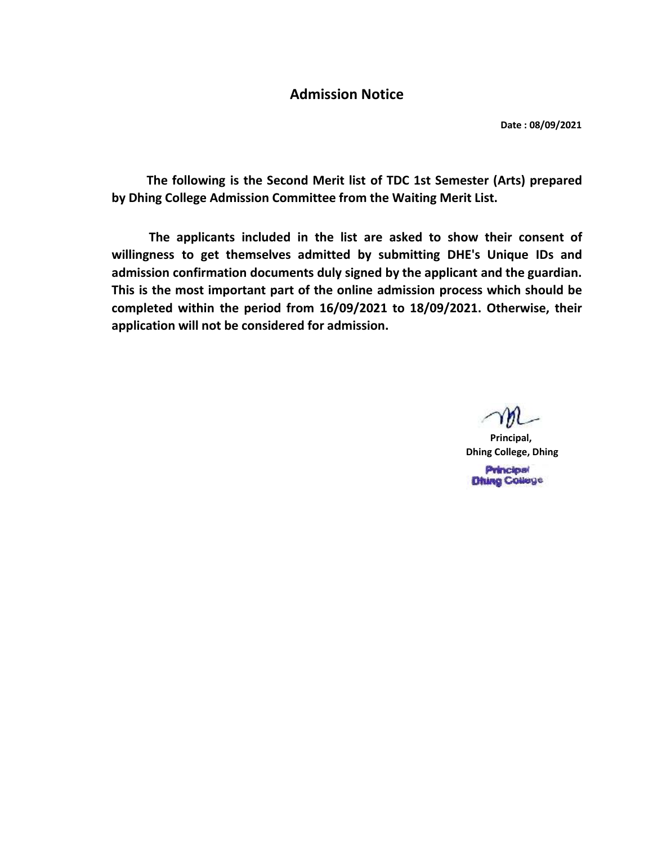## Admission Notice

Date : 08/09/2021

The following is the Second Merit list of TDC 1st Semester (Arts) prepared by Dhing College Admission Committee from the Waiting Merit List.

The applicants included in the list are asked to show their consent of willingness to get themselves admitted by submitting DHE's Unique IDs and admission confirmation documents duly signed by the applicant and the guardian. This is the most important part of the online admission process which should be completed within the period from 16/09/2021 to 18/09/2021. Otherwise, their application will not be considered for admission.

Principal, Dhing College, Dhing **Principal Dhing College**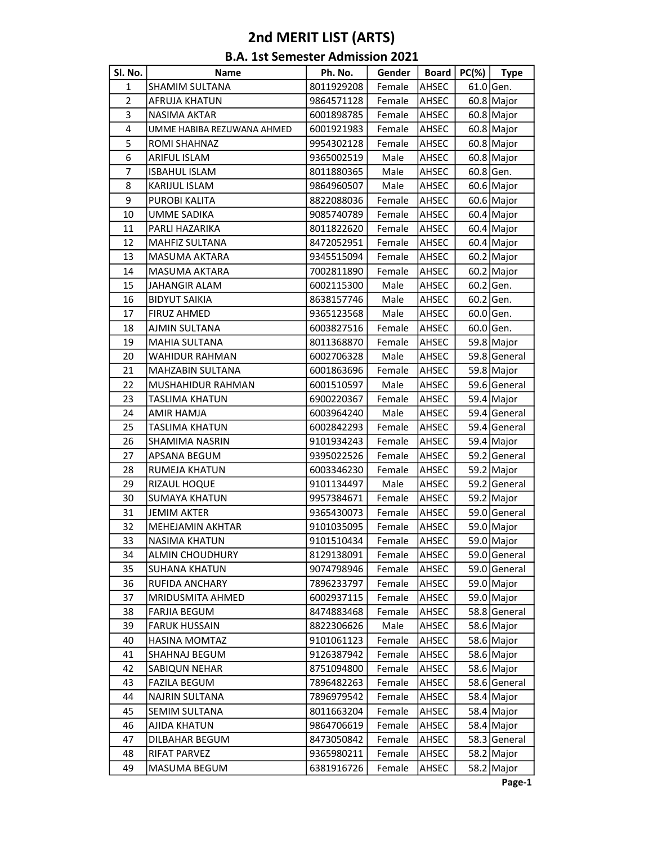## 2nd MERIT LIST (ARTS)

| <b>B.A. 1st Semester Admission 2021</b> |  |
|-----------------------------------------|--|
|-----------------------------------------|--|

| Sl. No.        | <b>Name</b>                | Ph. No.    | Gender | Board        | $PC(\%)$ | <b>Type</b>  |
|----------------|----------------------------|------------|--------|--------------|----------|--------------|
| $\mathbf{1}$   | SHAMIM SULTANA             | 8011929208 | Female | AHSEC        |          | $61.0$ Gen.  |
| $\overline{2}$ | <b>AFRUJA KHATUN</b>       | 9864571128 | Female | <b>AHSEC</b> |          | $60.8$ Major |
| 3              | <b>NASIMA AKTAR</b>        | 6001898785 | Female | AHSEC        |          | $60.8$ Major |
| 4              | UMME HABIBA REZUWANA AHMED | 6001921983 | Female | AHSEC        |          | $60.8$ Major |
| 5              | ROMI SHAHNAZ               | 9954302128 | Female | AHSEC        |          | 60.8 Major   |
| 6              | <b>ARIFUL ISLAM</b>        | 9365002519 | Male   | <b>AHSEC</b> |          | $60.8$ Major |
| 7              | <b>ISBAHUL ISLAM</b>       | 8011880365 | Male   | <b>AHSEC</b> |          | $60.8$ Gen.  |
| 8              | KARIJUL ISLAM              | 9864960507 | Male   | AHSEC        |          | 60.6 Major   |
| 9              | PUROBI KALITA              | 8822088036 | Female | <b>AHSEC</b> |          | 60.6 Major   |
| 10             | <b>UMME SADIKA</b>         | 9085740789 | Female | AHSEC        |          | $60.4$ Major |
| 11             | PARLI HAZARIKA             | 8011822620 | Female | <b>AHSEC</b> |          | $60.4$ Major |
| 12             | <b>MAHFIZ SULTANA</b>      | 8472052951 | Female | AHSEC        |          | 60.4 Major   |
| 13             | <b>MASUMA AKTARA</b>       | 9345515094 | Female | <b>AHSEC</b> |          | 60.2 Major   |
| 14             | <b>MASUMA AKTARA</b>       | 7002811890 | Female | <b>AHSEC</b> |          | 60.2 Major   |
| 15             | <b>JAHANGIR ALAM</b>       | 6002115300 | Male   | AHSEC        |          | $60.2$ Gen.  |
| 16             | <b>BIDYUT SAIKIA</b>       | 8638157746 | Male   | AHSEC        |          | $60.2$ Gen.  |
| 17             | <b>FIRUZ AHMED</b>         | 9365123568 | Male   | AHSEC        |          | 60.0 Gen.    |
| 18             | AJMIN SULTANA              | 6003827516 | Female | AHSEC        |          | 60.0 Gen.    |
| 19             | <b>MAHIA SULTANA</b>       | 8011368870 | Female | <b>AHSEC</b> |          | 59.8 Major   |
| 20             | WAHIDUR RAHMAN             | 6002706328 | Male   | <b>AHSEC</b> |          | 59.8 General |
| 21             | <b>MAHZABIN SULTANA</b>    | 6001863696 | Female | <b>AHSEC</b> |          | 59.8 Major   |
| 22             | MUSHAHIDUR RAHMAN          | 6001510597 | Male   | AHSEC        |          | 59.6 General |
| 23             | <b>TASLIMA KHATUN</b>      | 6900220367 | Female | <b>AHSEC</b> |          | 59.4 Major   |
| 24             | AMIR HAMJA                 | 6003964240 | Male   | AHSEC        |          | 59.4 General |
| 25             | TASLIMA KHATUN             | 6002842293 | Female | <b>AHSEC</b> |          | 59.4 General |
| 26             | SHAMIMA NASRIN             | 9101934243 | Female | AHSEC        |          | 59.4 Major   |
| 27             | APSANA BEGUM               | 9395022526 | Female | AHSEC        |          | 59.2 General |
| 28             | RUMEJA KHATUN              | 6003346230 | Female | <b>AHSEC</b> |          | 59.2 Major   |
| 29             | RIZAUL HOQUE               | 9101134497 | Male   | AHSEC        |          | 59.2 General |
| 30             | <b>SUMAYA KHATUN</b>       | 9957384671 | Female | <b>AHSEC</b> |          | 59.2 Major   |
| 31             | JEMIM AKTER                | 9365430073 | Female | <b>AHSEC</b> |          | 59.0 General |
| 32             | MEHEJAMIN AKHTAR           | 9101035095 | Female | <b>AHSEC</b> |          | 59.0 Major   |
| 33             | <b>NASIMA KHATUN</b>       | 9101510434 | Female | <b>AHSEC</b> |          | 59.0 Major   |
| 34             | <b>ALMIN CHOUDHURY</b>     | 8129138091 | Female | <b>AHSEC</b> |          | 59.0 General |
| 35             | SUHANA KHATUN              | 9074798946 | Female | <b>AHSEC</b> |          | 59.0 General |
| 36             | RUFIDA ANCHARY             | 7896233797 | Female | <b>AHSEC</b> |          | 59.0 Major   |
| 37             | MRIDUSMITA AHMED           | 6002937115 | Female | <b>AHSEC</b> |          | 59.0 Major   |
| 38             | FARJIA BEGUM               | 8474883468 | Female | AHSEC        |          | 58.8 General |
| 39             | <b>FARUK HUSSAIN</b>       | 8822306626 | Male   | AHSEC        |          | 58.6 Major   |
| 40             | <b>HASINA MOMTAZ</b>       | 9101061123 | Female | AHSEC        |          | 58.6 Major   |
| 41             | SHAHNAJ BEGUM              | 9126387942 | Female | <b>AHSEC</b> |          | 58.6 Major   |
| 42             | SABIQUN NEHAR              | 8751094800 | Female | <b>AHSEC</b> |          | 58.6 Major   |
| 43             | <b>FAZILA BEGUM</b>        | 7896482263 | Female | <b>AHSEC</b> |          | 58.6 General |
| 44             | NAJRIN SULTANA             | 7896979542 | Female | AHSEC        |          | 58.4 Major   |
| 45             | SEMIM SULTANA              | 8011663204 | Female | AHSEC        |          | 58.4 Major   |
| 46             | AJIDA KHATUN               | 9864706619 | Female | <b>AHSEC</b> |          | 58.4 Major   |
| 47             | DILBAHAR BEGUM             | 8473050842 | Female | <b>AHSEC</b> |          | 58.3 General |
| 48             | RIFAT PARVEZ               | 9365980211 | Female | AHSEC        |          | 58.2 Major   |
| 49             | MASUMA BEGUM               | 6381916726 | Female | AHSEC        |          | 58.2 Major   |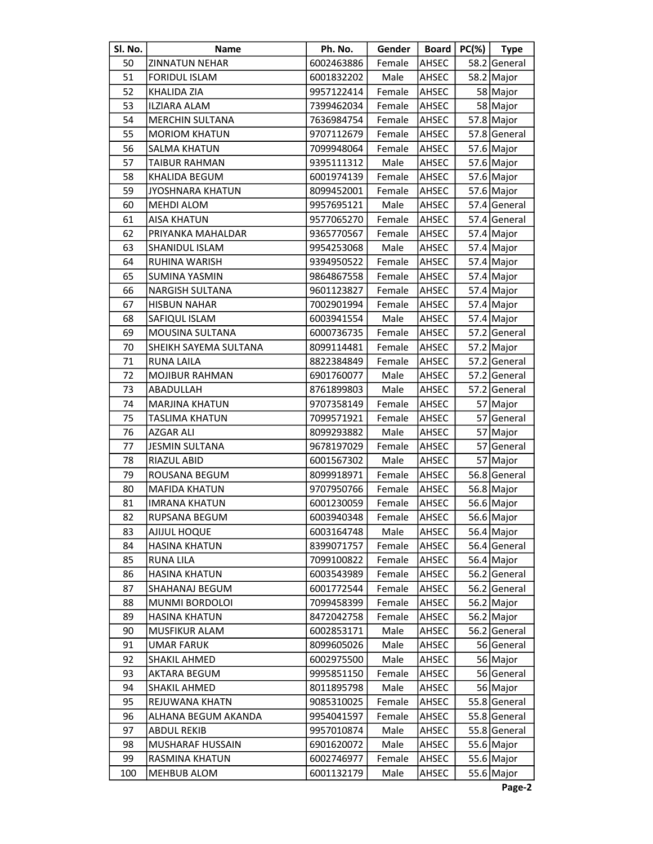| SI. No. | Name                    | Ph. No.    | Gender        | <b>Board</b> | $PC(\%)$ | <b>Type</b>  |
|---------|-------------------------|------------|---------------|--------------|----------|--------------|
| 50      | <b>ZINNATUN NEHAR</b>   | 6002463886 | Female        | AHSEC        |          | 58.2 General |
| 51      | <b>FORIDUL ISLAM</b>    | 6001832202 | Male          | AHSEC        |          | 58.2 Major   |
| 52      | KHALIDA ZIA             | 9957122414 | Female        | AHSEC        |          | 58 Major     |
| 53      | <b>ILZIARA ALAM</b>     | 7399462034 | Female        | AHSEC        |          | 58 Major     |
| 54      | <b>MERCHIN SULTANA</b>  | 7636984754 | Female        | AHSEC        |          | 57.8 Major   |
| 55      | <b>MORIOM KHATUN</b>    | 9707112679 | Female        | <b>AHSEC</b> |          | 57.8 General |
| 56      | <b>SALMA KHATUN</b>     | 7099948064 | Female        | AHSEC        |          | 57.6 Major   |
| 57      | <b>TAIBUR RAHMAN</b>    | 9395111312 | Male          | AHSEC        |          | 57.6 Major   |
| 58      | KHALIDA BEGUM           | 6001974139 | Female        | AHSEC        |          | 57.6 Major   |
| 59      | <b>JYOSHNARA KHATUN</b> | 8099452001 | Female        | AHSEC        |          | 57.6 Major   |
| 60      | <b>MEHDI ALOM</b>       | 9957695121 | Male          | AHSEC        |          | 57.4 General |
| 61      | <b>AISA KHATUN</b>      | 9577065270 | Female        | AHSEC        |          | 57.4 General |
| 62      | PRIYANKA MAHALDAR       | 9365770567 | Female        | AHSEC        |          | 57.4 Major   |
| 63      | SHANIDUL ISLAM          | 9954253068 | Male          | AHSEC        |          | 57.4 Major   |
| 64      | RUHINA WARISH           | 9394950522 | Female        | AHSEC        |          | 57.4 Major   |
| 65      | <b>SUMINA YASMIN</b>    | 9864867558 | Female        | AHSEC        |          | 57.4 Major   |
| 66      | <b>NARGISH SULTANA</b>  | 9601123827 | Female        | AHSEC        |          | 57.4 Major   |
| 67      | <b>HISBUN NAHAR</b>     | 7002901994 | Female        | AHSEC        |          | 57.4 Major   |
| 68      | SAFIQUL ISLAM           | 6003941554 | Male          | AHSEC        |          | 57.4 Major   |
| 69      | MOUSINA SULTANA         | 6000736735 | Female        | <b>AHSEC</b> |          | 57.2 General |
| 70      | SHEIKH SAYEMA SULTANA   | 8099114481 | Female        | AHSEC        |          | 57.2 Major   |
| 71      | RUNA LAILA              | 8822384849 | Female        | AHSEC        |          | 57.2 General |
| 72      | <b>MOJIBUR RAHMAN</b>   | 6901760077 | Male          | AHSEC        |          | 57.2 General |
| 73      | ABADULLAH               | 8761899803 | Male          | AHSEC        |          | 57.2 General |
| 74      | <b>MARJINA KHATUN</b>   | 9707358149 | Female        | AHSEC        |          | 57 Major     |
| 75      | <b>TASLIMA KHATUN</b>   | 7099571921 | Female        | AHSEC        |          | 57 General   |
| 76      | AZGAR ALI               | 8099293882 | Male          | AHSEC        |          | 57 Major     |
| 77      | <b>JESMIN SULTANA</b>   | 9678197029 | Female        | AHSEC        | 57       | General      |
| 78      | RIAZUL ABID             | 6001567302 | Male          | AHSEC        |          | 57 Major     |
| 79      | ROUSANA BEGUM           | 8099918971 | Female        | AHSEC        |          | 56.8 General |
| 80      | <b>MAFIDA KHATUN</b>    | 9707950766 | Female        | AHSEC        |          | 56.8 Major   |
| 81      | <b>IMRANA KHATUN</b>    | 6001230059 | Female        | AHSEC        |          | 56.6 Major   |
| 82      | RUPSANA BEGUM           | 6003940348 | Female  AHSEC |              |          | 56.6 Major   |
| 83      | AJIJUL HOQUE            | 6003164748 | Male          | AHSEC        |          | 56.4 Major   |
| 84      | <b>HASINA KHATUN</b>    | 8399071757 | Female        | AHSEC        |          | 56.4 General |
| 85      | RUNA LILA               | 7099100822 | Female        | AHSEC        |          | 56.4 Major   |
| 86      | <b>HASINA KHATUN</b>    | 6003543989 | Female        | AHSEC        |          | 56.2 General |
| 87      | SHAHANAJ BEGUM          | 6001772544 | Female        | AHSEC        |          | 56.2 General |
| 88      | MUNMI BORDOLOI          | 7099458399 | Female        | AHSEC        |          | 56.2 Major   |
| 89      | <b>HASINA KHATUN</b>    | 8472042758 | Female        | AHSEC        |          | 56.2 Major   |
| 90      | <b>MUSFIKUR ALAM</b>    | 6002853171 | Male          | AHSEC        |          | 56.2 General |
| 91      | <b>UMAR FARUK</b>       | 8099605026 | Male          | AHSEC        |          | 56 General   |
| 92      | SHAKIL AHMED            | 6002975500 | Male          | AHSEC        |          | 56 Major     |
| 93      | AKTARA BEGUM            | 9995851150 | Female        | AHSEC        |          | 56 General   |
| 94      | SHAKIL AHMED            | 8011895798 | Male          | AHSEC        |          | 56 Major     |
| 95      | REJUWANA KHATN          | 9085310025 | Female        | AHSEC        |          | 55.8 General |
| 96      | ALHANA BEGUM AKANDA     | 9954041597 | Female        | AHSEC        |          | 55.8 General |
| 97      | <b>ABDUL REKIB</b>      | 9957010874 | Male          | AHSEC        |          | 55.8 General |
| 98      | MUSHARAF HUSSAIN        | 6901620072 | Male          | AHSEC        |          | 55.6 Major   |
| 99      | RASMINA KHATUN          | 6002746977 | Female        | AHSEC        |          | 55.6 Major   |
| 100     | MEHBUB ALOM             | 6001132179 | Male          | AHSEC        |          | 55.6 Major   |